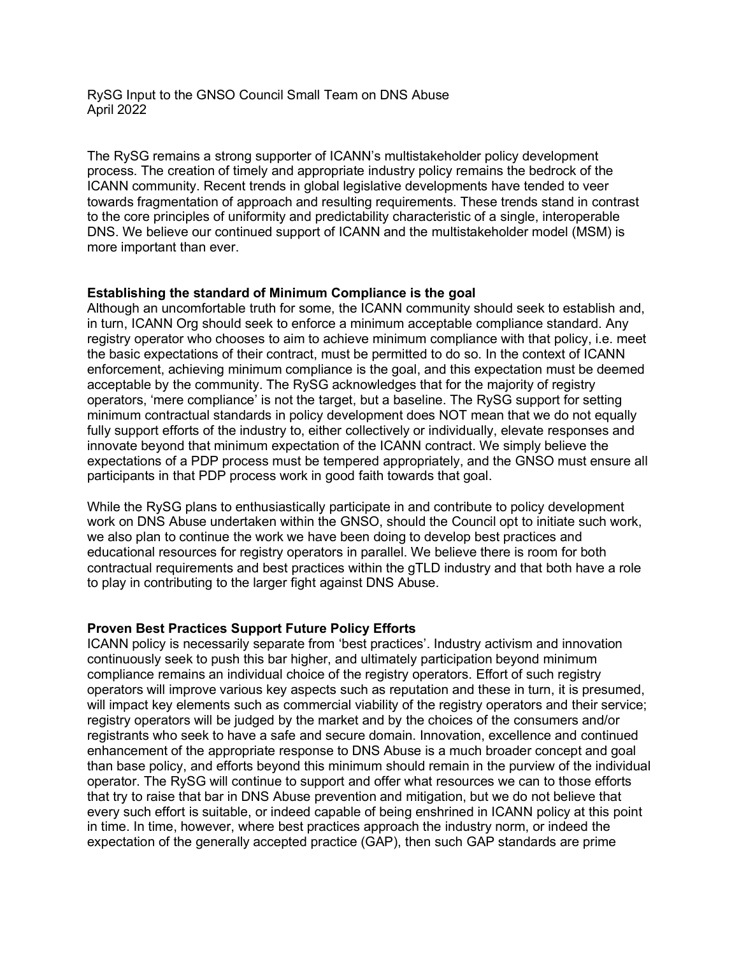## RySG Input to the GNSO Council Small Team on DNS Abuse April 2022

The RySG remains a strong supporter of ICANN's multistakeholder policy development process. The creation of timely and appropriate industry policy remains the bedrock of the ICANN community. Recent trends in global legislative developments have tended to veer towards fragmentation of approach and resulting requirements. These trends stand in contrast to the core principles of uniformity and predictability characteristic of a single, interoperable DNS. We believe our continued support of ICANN and the multistakeholder model (MSM) is more important than ever.

# **Establishing the standard of Minimum Compliance is the goal**

Although an uncomfortable truth for some, the ICANN community should seek to establish and, in turn, ICANN Org should seek to enforce a minimum acceptable compliance standard. Any registry operator who chooses to aim to achieve minimum compliance with that policy, i.e. meet the basic expectations of their contract, must be permitted to do so. In the context of ICANN enforcement, achieving minimum compliance is the goal, and this expectation must be deemed acceptable by the community. The RySG acknowledges that for the majority of registry operators, 'mere compliance' is not the target, but a baseline. The RySG support for setting minimum contractual standards in policy development does NOT mean that we do not equally fully support efforts of the industry to, either collectively or individually, elevate responses and innovate beyond that minimum expectation of the ICANN contract. We simply believe the expectations of a PDP process must be tempered appropriately, and the GNSO must ensure all participants in that PDP process work in good faith towards that goal.

While the RySG plans to enthusiastically participate in and contribute to policy development work on DNS Abuse undertaken within the GNSO, should the Council opt to initiate such work, we also plan to continue the work we have been doing to develop best practices and educational resources for registry operators in parallel. We believe there is room for both contractual requirements and best practices within the gTLD industry and that both have a role to play in contributing to the larger fight against DNS Abuse.

### **Proven Best Practices Support Future Policy Efforts**

ICANN policy is necessarily separate from 'best practices'. Industry activism and innovation continuously seek to push this bar higher, and ultimately participation beyond minimum compliance remains an individual choice of the registry operators. Effort of such registry operators will improve various key aspects such as reputation and these in turn, it is presumed, will impact key elements such as commercial viability of the registry operators and their service; registry operators will be judged by the market and by the choices of the consumers and/or registrants who seek to have a safe and secure domain. Innovation, excellence and continued enhancement of the appropriate response to DNS Abuse is a much broader concept and goal than base policy, and efforts beyond this minimum should remain in the purview of the individual operator. The RySG will continue to support and offer what resources we can to those efforts that try to raise that bar in DNS Abuse prevention and mitigation, but we do not believe that every such effort is suitable, or indeed capable of being enshrined in ICANN policy at this point in time. In time, however, where best practices approach the industry norm, or indeed the expectation of the generally accepted practice (GAP), then such GAP standards are prime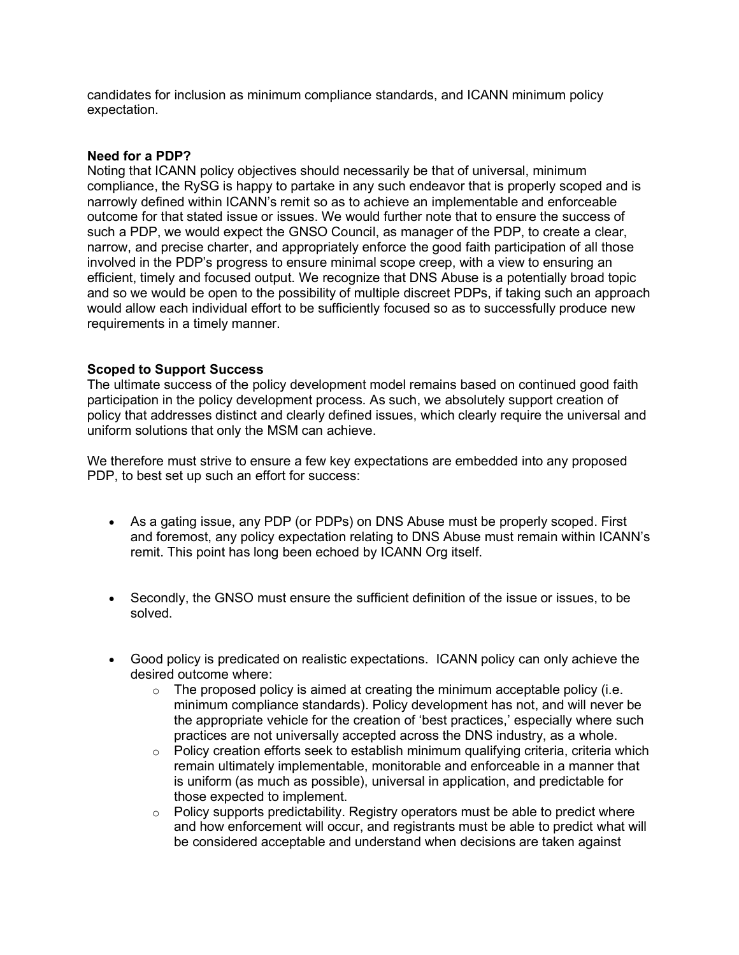candidates for inclusion as minimum compliance standards, and ICANN minimum policy expectation.

### **Need for a PDP?**

Noting that ICANN policy objectives should necessarily be that of universal, minimum compliance, the RySG is happy to partake in any such endeavor that is properly scoped and is narrowly defined within ICANN's remit so as to achieve an implementable and enforceable outcome for that stated issue or issues. We would further note that to ensure the success of such a PDP, we would expect the GNSO Council, as manager of the PDP, to create a clear, narrow, and precise charter, and appropriately enforce the good faith participation of all those involved in the PDP's progress to ensure minimal scope creep, with a view to ensuring an efficient, timely and focused output. We recognize that DNS Abuse is a potentially broad topic and so we would be open to the possibility of multiple discreet PDPs, if taking such an approach would allow each individual effort to be sufficiently focused so as to successfully produce new requirements in a timely manner.

# **Scoped to Support Success**

The ultimate success of the policy development model remains based on continued good faith participation in the policy development process. As such, we absolutely support creation of policy that addresses distinct and clearly defined issues, which clearly require the universal and uniform solutions that only the MSM can achieve.

We therefore must strive to ensure a few key expectations are embedded into any proposed PDP, to best set up such an effort for success:

- As a gating issue, any PDP (or PDPs) on DNS Abuse must be properly scoped. First and foremost, any policy expectation relating to DNS Abuse must remain within ICANN's remit. This point has long been echoed by ICANN Org itself.
- Secondly, the GNSO must ensure the sufficient definition of the issue or issues, to be solved.
- Good policy is predicated on realistic expectations. ICANN policy can only achieve the desired outcome where:
	- $\circ$  The proposed policy is aimed at creating the minimum acceptable policy (i.e. minimum compliance standards). Policy development has not, and will never be the appropriate vehicle for the creation of 'best practices,' especially where such practices are not universally accepted across the DNS industry, as a whole.
	- $\circ$  Policy creation efforts seek to establish minimum qualifying criteria, criteria which remain ultimately implementable, monitorable and enforceable in a manner that is uniform (as much as possible), universal in application, and predictable for those expected to implement.
	- $\circ$  Policy supports predictability. Registry operators must be able to predict where and how enforcement will occur, and registrants must be able to predict what will be considered acceptable and understand when decisions are taken against